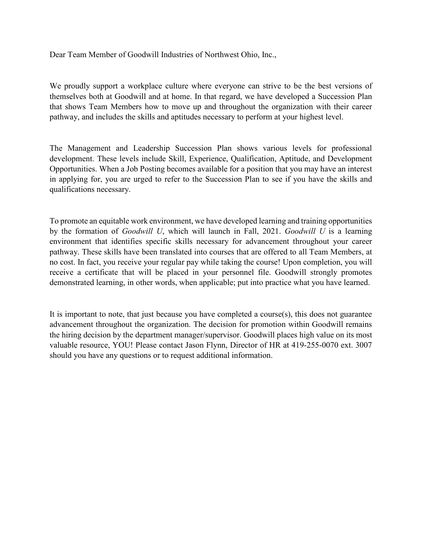Dear Team Member of Goodwill Industries of Northwest Ohio, Inc.,

We proudly support a workplace culture where everyone can strive to be the best versions of themselves both at Goodwill and at home. In that regard, we have developed a Succession Plan that shows Team Members how to move up and throughout the organization with their career pathway, and includes the skills and aptitudes necessary to perform at your highest level.

The Management and Leadership Succession Plan shows various levels for professional development. These levels include Skill, Experience, Qualification, Aptitude, and Development Opportunities. When a Job Posting becomes available for a position that you may have an interest in applying for, you are urged to refer to the Succession Plan to see if you have the skills and qualifications necessary.

To promote an equitable work environment, we have developed learning and training opportunities by the formation of *Goodwill U*, which will launch in Fall, 2021. *Goodwill U* is a learning environment that identifies specific skills necessary for advancement throughout your career pathway. These skills have been translated into courses that are offered to all Team Members, at no cost. In fact, you receive your regular pay while taking the course! Upon completion, you will receive a certificate that will be placed in your personnel file. Goodwill strongly promotes demonstrated learning, in other words, when applicable; put into practice what you have learned.

It is important to note, that just because you have completed a course(s), this does not guarantee advancement throughout the organization. The decision for promotion within Goodwill remains the hiring decision by the department manager/supervisor. Goodwill places high value on its most valuable resource, YOU! Please contact Jason Flynn, Director of HR at 419-255-0070 ext. 3007 should you have any questions or to request additional information.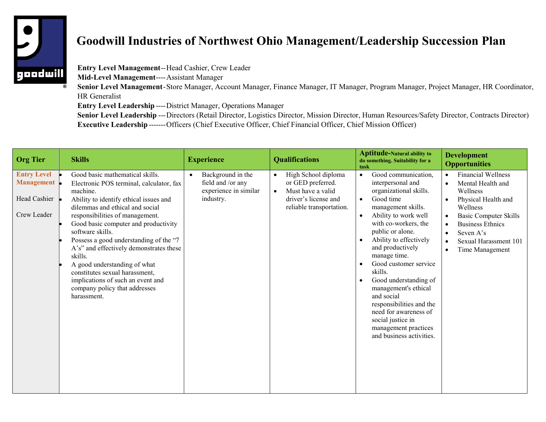

## **Goodwill Industries of Northwest Ohio Management/Leadership Succession Plan**

**Entry Level Management**--Head Cashier, Crew Leader

**Mid-Level Management**----Assistant Manager

**Senior Level Management**-Store Manager, Account Manager, Finance Manager, IT Manager, Program Manager, Project Manager, HR Coordinator, HR Generalist

**Entry Level Leadership** ----District Manager, Operations Manager

**Senior Level Leadership** ---Directors (Retail Director, Logistics Director, Mission Director, Human Resources/Safety Director, Contracts Director) **Executive Leadership**-------Officers (Chief Executive Officer, Chief Financial Officer, Chief Mission Officer)

| <b>Org Tier</b>                                                 | <b>Skills</b>                                                                                                                                                                                                                                                                                                                                                                                                                                                                                                              | <b>Experience</b>                                                            | <b>Qualifications</b>                                                                                                          | <b>Aptitude-Natural ability to</b><br>do something. Suitability for a<br>task                                                                                                                                                                                                                                                                                                                                                                                                                                   | <b>Development</b><br><b>Opportunities</b>                                                                                                                                                                                                                                                                                |
|-----------------------------------------------------------------|----------------------------------------------------------------------------------------------------------------------------------------------------------------------------------------------------------------------------------------------------------------------------------------------------------------------------------------------------------------------------------------------------------------------------------------------------------------------------------------------------------------------------|------------------------------------------------------------------------------|--------------------------------------------------------------------------------------------------------------------------------|-----------------------------------------------------------------------------------------------------------------------------------------------------------------------------------------------------------------------------------------------------------------------------------------------------------------------------------------------------------------------------------------------------------------------------------------------------------------------------------------------------------------|---------------------------------------------------------------------------------------------------------------------------------------------------------------------------------------------------------------------------------------------------------------------------------------------------------------------------|
| <b>Entry Level</b><br>Management<br>Head Cashier<br>Crew Leader | Good basic mathematical skills.<br>Electronic POS terminal, calculator, fax<br>machine.<br>Ability to identify ethical issues and<br>dilemmas and ethical and social<br>responsibilities of management.<br>Good basic computer and productivity<br>software skills.<br>Possess a good understanding of the "7<br>A's" and effectively demonstrates these<br>skills.<br>A good understanding of what<br>constitutes sexual harassment,<br>implications of such an event and<br>company policy that addresses<br>harassment. | Background in the<br>field and /or any<br>experience in similar<br>industry. | High School diploma<br>or GED preferred.<br>Must have a valid<br>$\bullet$<br>driver's license and<br>reliable transportation. | Good communication,<br>$\bullet$<br>interpersonal and<br>organizational skills.<br>Good time<br>$\bullet$<br>management skills.<br>Ability to work well<br>$\bullet$<br>with co-workers, the<br>public or alone.<br>Ability to effectively<br>and productively<br>manage time.<br>Good customer service<br>skills.<br>Good understanding of<br>management's ethical<br>and social<br>responsibilities and the<br>need for awareness of<br>social justice in<br>management practices<br>and business activities. | <b>Financial Wellness</b><br>$\bullet$<br>Mental Health and<br>$\bullet$<br>Wellness<br>Physical Health and<br>$\bullet$<br>Wellness<br><b>Basic Computer Skills</b><br>$\bullet$<br><b>Business Ethnics</b><br>$\bullet$<br>Seven A's<br>$\bullet$<br>Sexual Harassment 101<br>$\bullet$<br>Time Management<br>$\bullet$ |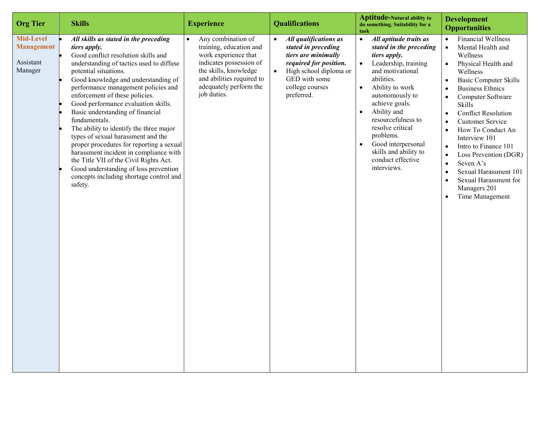| <b>Org Tier</b>                                        | <b>Skills</b>                                                                                                                                                                                                                                                                                                                                                                                                                                                                                                                                                                                                                                                                                 | <b>Experience</b>                                                                                                                                                                               | <b>Qualifications</b>                                                                                                                                                                  | <b>Aptitude-Natural ability to</b><br>do something. Suitability for a<br>task                                                                                                                                                                                                                                                                                                                                 | <b>Development</b><br><b>Opportunities</b>                                                                                                                                                                                                                                                                                                                                                                                                                                                                                                                                                                                                          |
|--------------------------------------------------------|-----------------------------------------------------------------------------------------------------------------------------------------------------------------------------------------------------------------------------------------------------------------------------------------------------------------------------------------------------------------------------------------------------------------------------------------------------------------------------------------------------------------------------------------------------------------------------------------------------------------------------------------------------------------------------------------------|-------------------------------------------------------------------------------------------------------------------------------------------------------------------------------------------------|----------------------------------------------------------------------------------------------------------------------------------------------------------------------------------------|---------------------------------------------------------------------------------------------------------------------------------------------------------------------------------------------------------------------------------------------------------------------------------------------------------------------------------------------------------------------------------------------------------------|-----------------------------------------------------------------------------------------------------------------------------------------------------------------------------------------------------------------------------------------------------------------------------------------------------------------------------------------------------------------------------------------------------------------------------------------------------------------------------------------------------------------------------------------------------------------------------------------------------------------------------------------------------|
| Mid-Level<br><b>Management</b><br>Assistant<br>Manager | All skills as stated in the preceding<br>tiers apply.<br>Good conflict resolution skills and<br>understanding of tactics used to diffuse<br>potential situations.<br>Good knowledge and understanding of<br>performance management policies and<br>enforcement of these policies.<br>Good performance evaluation skills.<br>Basic understanding of financial<br>fundamentals.<br>The ability to identify the three major<br>types of sexual harassment and the<br>proper procedures for reporting a sexual<br>harassment incident in compliance with<br>the Title VII of the Civil Rights Act.<br>Good understanding of loss prevention<br>concepts including shortage control and<br>safety. | Any combination of<br>training, education and<br>work experience that<br>indicates possession of<br>the skills, knowledge<br>and abilities required to<br>adequately perform the<br>job duties. | All qualifications as<br>stated in preceding<br>tiers are minimally<br>required for position.<br>High school diploma or<br>$\bullet$<br>GED with some<br>college courses<br>preferred. | All aptitude traits as<br>$\bullet$<br>stated in the preceding<br>tiers apply.<br>$\bullet$<br>Leadership, training<br>and motivational<br>abilities.<br>Ability to work<br>$\bullet$<br>autonomously to<br>achieve goals.<br>Ability and<br>$\bullet$<br>resourcefulness to<br>resolve critical<br>problems.<br>Good interpersonal<br>$\bullet$<br>skills and ability to<br>conduct effective<br>interviews. | <b>Financial Wellness</b><br>$\bullet$<br>Mental Health and<br>$\bullet$<br>Wellness<br>Physical Health and<br>$\bullet$<br>Wellness<br><b>Basic Computer Skills</b><br>$\bullet$<br><b>Business Ethnics</b><br>$\bullet$<br>Computer Software<br>$\bullet$<br><b>Skills</b><br><b>Conflict Resolution</b><br>$\bullet$<br><b>Customer Service</b><br>$\bullet$<br>How To Conduct An<br>$\bullet$<br>Interview 101<br>Intro to Finance 101<br>$\bullet$<br>Loss Prevention (DGR)<br>$\bullet$<br>Seven A's<br>$\bullet$<br>Sexual Harassment 101<br>$\bullet$<br>Sexual Harassment for<br>$\bullet$<br>Managers 201<br>Time Management<br>$\bullet$ |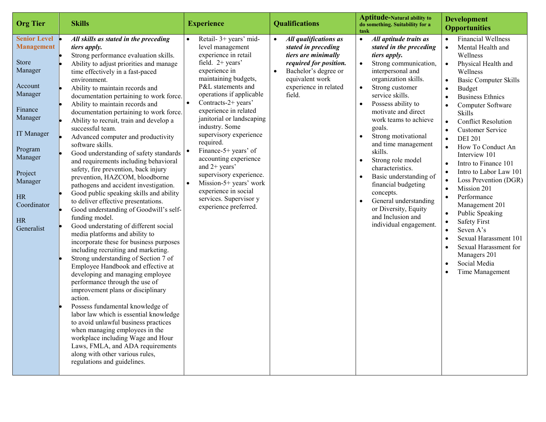| <b>Org Tier</b>                                                                                                                                                                                                           | <b>Skills</b>                                                                                                                                                                                                                                                                                                                                                                                                                                                                                                                                                                                                                                                                                                                                                                                                                                                                                                                                                                                                                                                                                                                                                                                                                                                                                                                                                                                                                                                                                              | <b>Experience</b>                                                                                                                                                                                                                                                                                                                                                                                                                                                                                                                          | <b>Qualifications</b>                                                                                                                                                                                 | <b>Aptitude-Natural ability to</b><br>do something. Suitability for a<br>task                                                                                                                                                                                                                                                                                                                                                                                                                                                                                                                               | <b>Development</b><br><b>Opportunities</b>                                                                                                                                                                                                                                                                                                                                                                                                                                                                                                                                                                                                                                                                         |
|---------------------------------------------------------------------------------------------------------------------------------------------------------------------------------------------------------------------------|------------------------------------------------------------------------------------------------------------------------------------------------------------------------------------------------------------------------------------------------------------------------------------------------------------------------------------------------------------------------------------------------------------------------------------------------------------------------------------------------------------------------------------------------------------------------------------------------------------------------------------------------------------------------------------------------------------------------------------------------------------------------------------------------------------------------------------------------------------------------------------------------------------------------------------------------------------------------------------------------------------------------------------------------------------------------------------------------------------------------------------------------------------------------------------------------------------------------------------------------------------------------------------------------------------------------------------------------------------------------------------------------------------------------------------------------------------------------------------------------------------|--------------------------------------------------------------------------------------------------------------------------------------------------------------------------------------------------------------------------------------------------------------------------------------------------------------------------------------------------------------------------------------------------------------------------------------------------------------------------------------------------------------------------------------------|-------------------------------------------------------------------------------------------------------------------------------------------------------------------------------------------------------|-------------------------------------------------------------------------------------------------------------------------------------------------------------------------------------------------------------------------------------------------------------------------------------------------------------------------------------------------------------------------------------------------------------------------------------------------------------------------------------------------------------------------------------------------------------------------------------------------------------|--------------------------------------------------------------------------------------------------------------------------------------------------------------------------------------------------------------------------------------------------------------------------------------------------------------------------------------------------------------------------------------------------------------------------------------------------------------------------------------------------------------------------------------------------------------------------------------------------------------------------------------------------------------------------------------------------------------------|
| <b>Senior Level</b><br><b>Management</b><br><b>Store</b><br>Manager<br>Account<br>Manager<br>Finance<br>Manager<br>IT Manager<br>Program<br>Manager<br>Project<br>Manager<br>HR<br>Coordinator<br><b>HR</b><br>Generalist | All skills as stated in the preceding<br>tiers apply.<br>Strong performance evaluation skills.<br>Ability to adjust priorities and manage<br>time effectively in a fast-paced<br>environment.<br>Ability to maintain records and<br>documentation pertaining to work force.<br>Ability to maintain records and<br>documentation pertaining to work force.<br>Ability to recruit, train and develop a<br>successful team.<br>Advanced computer and productivity<br>software skills.<br>Good understanding of safety standards<br>and requirements including behavioral<br>safety, fire prevention, back injury<br>prevention, HAZCOM, bloodborne<br>pathogens and accident investigation.<br>Good public speaking skills and ability<br>to deliver effective presentations.<br>Good understanding of Goodwill's self-<br>funding model.<br>Good understating of different social<br>media platforms and ability to<br>incorporate these for business purposes<br>including recruiting and marketing.<br>Strong understanding of Section 7 of<br>Employee Handbook and effective at<br>developing and managing employee<br>performance through the use of<br>improvement plans or disciplinary<br>action.<br>Possess fundamental knowledge of<br>labor law which is essential knowledge<br>to avoid unlawful business practices<br>when managing employees in the<br>workplace including Wage and Hour<br>Laws, FMLA, and ADA requirements<br>along with other various rules,<br>regulations and guidelines. | Retail- 3+ years' mid-<br>level management<br>experience in retail<br>field. $2+$ years'<br>experience in<br>maintaining budgets,<br>P&L statements and<br>operations if applicable<br>Contracts-2+ years'<br>$\bullet$<br>experience in related<br>janitorial or landscaping<br>industry. Some<br>supervisory experience<br>required.<br>Finance-5+ years' of<br>accounting experience<br>and $2+$ years'<br>supervisory experience.<br>Mission-5+ years' work<br>experience in social<br>services. Supervisor y<br>experience preferred. | All qualifications as<br>$\bullet$<br>stated in preceding<br>tiers are minimally<br>required for position.<br>Bachelor's degree or<br>$\bullet$<br>equivalent work<br>experience in related<br>field. | All aptitude traits as<br>$\bullet$<br>stated in the preceding<br>tiers apply.<br>Strong communication,<br>$\bullet$<br>interpersonal and<br>organization skills.<br>Strong customer<br>$\bullet$<br>service skills.<br>Possess ability to<br>$\bullet$<br>motivate and direct<br>work teams to achieve<br>goals.<br>Strong motivational<br>and time management<br>skills.<br>Strong role model<br>$\bullet$<br>characteristics.<br>Basic understanding of<br>financial budgeting<br>concepts.<br>General understanding<br>$\bullet$<br>or Diversity, Equity<br>and Inclusion and<br>individual engagement. | <b>Financial Wellness</b><br>Mental Health and<br>$\bullet$<br>Wellness<br>Physical Health and<br>$\bullet$<br>Wellness<br><b>Basic Computer Skills</b><br><b>Budget</b><br>$\bullet$<br><b>Business Ethnics</b><br>Computer Software<br>$\bullet$<br><b>Skills</b><br><b>Conflict Resolution</b><br>$\bullet$<br><b>Customer Service</b><br><b>DEI 201</b><br>$\bullet$<br>How To Conduct An<br>Interview 101<br>Intro to Finance 101<br>Intro to Labor Law 101<br>Loss Prevention (DGR)<br>Mission 201<br>$\bullet$<br>Performance<br>Management 201<br>Public Speaking<br><b>Safety First</b><br>Seven A's<br>Sexual Harassment 101<br>Sexual Harassment for<br>Managers 201<br>Social Media<br>Time Management |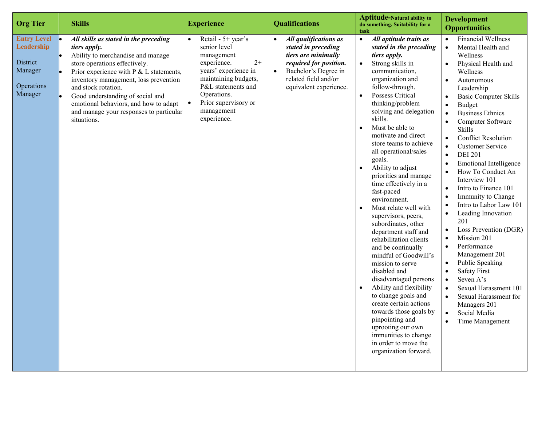| <b>Org Tier</b>                                                                  | <b>Skills</b>                                                                                                                                                                                                                                                                                                                                                                    | <b>Experience</b>                                                                                                                                                                                                              | <b>Qualifications</b>                                                                                                                                                                             | <b>Aptitude-Natural ability to</b><br>do something. Suitability for a<br>task                                                                                                                                                                                                                                                                                                                                                                                                                                                                                                                                                                                                                                                                                                                                                                                                                                                                                                                  | <b>Development</b><br><b>Opportunities</b>                                                                                                                                                                                                                                                                                                                                                                                                                                                                                                                                                                                                                                                                                                                                                                                                                                                                                    |
|----------------------------------------------------------------------------------|----------------------------------------------------------------------------------------------------------------------------------------------------------------------------------------------------------------------------------------------------------------------------------------------------------------------------------------------------------------------------------|--------------------------------------------------------------------------------------------------------------------------------------------------------------------------------------------------------------------------------|---------------------------------------------------------------------------------------------------------------------------------------------------------------------------------------------------|------------------------------------------------------------------------------------------------------------------------------------------------------------------------------------------------------------------------------------------------------------------------------------------------------------------------------------------------------------------------------------------------------------------------------------------------------------------------------------------------------------------------------------------------------------------------------------------------------------------------------------------------------------------------------------------------------------------------------------------------------------------------------------------------------------------------------------------------------------------------------------------------------------------------------------------------------------------------------------------------|-------------------------------------------------------------------------------------------------------------------------------------------------------------------------------------------------------------------------------------------------------------------------------------------------------------------------------------------------------------------------------------------------------------------------------------------------------------------------------------------------------------------------------------------------------------------------------------------------------------------------------------------------------------------------------------------------------------------------------------------------------------------------------------------------------------------------------------------------------------------------------------------------------------------------------|
| <b>Entry Level</b><br>Leadership<br>District<br>Manager<br>Operations<br>Manager | All skills as stated in the preceding<br>tiers apply.<br>Ability to merchandise and manage<br>store operations effectively.<br>Prior experience with $P \& L$ statements,<br>inventory management, loss prevention<br>and stock rotation.<br>Good understanding of social and<br>emotional behaviors, and how to adapt<br>and manage your responses to particular<br>situations. | Retail - 5+ year's<br>$\bullet$<br>senior level<br>management<br>$2+$<br>experience.<br>years' experience in<br>maintaining budgets,<br>P&L statements and<br>Operations.<br>Prior supervisory or<br>management<br>experience. | All qualifications as<br>$\bullet$<br>stated in preceding<br>tiers are minimally<br>required for position.<br>Bachelor's Degree in<br>$\bullet$<br>related field and/or<br>equivalent experience. | $\bullet$<br>All aptitude traits as<br>stated in the preceding<br>tiers apply.<br>Strong skills in<br>$\bullet$<br>communication,<br>organization and<br>follow-through.<br>Possess Critical<br>$\bullet$<br>thinking/problem<br>solving and delegation<br>skills.<br>Must be able to<br>$\bullet$<br>motivate and direct<br>store teams to achieve<br>all operational/sales<br>goals.<br>Ability to adjust<br>$\bullet$<br>priorities and manage<br>time effectively in a<br>fast-paced<br>environment.<br>Must relate well with<br>$\bullet$<br>supervisors, peers,<br>subordinates, other<br>department staff and<br>rehabilitation clients<br>and be continually<br>mindful of Goodwill's<br>mission to serve<br>disabled and<br>disadvantaged persons<br>Ability and flexibility<br>$\bullet$<br>to change goals and<br>create certain actions<br>towards those goals by<br>pinpointing and<br>uprooting our own<br>immunities to change<br>in order to move the<br>organization forward. | <b>Financial Wellness</b><br>Mental Health and<br>$\bullet$<br>Wellness<br>Physical Health and<br>$\bullet$<br>Wellness<br>Autonomous<br>Leadership<br><b>Basic Computer Skills</b><br>$\bullet$<br><b>Budget</b><br>$\bullet$<br><b>Business Ethnics</b><br>Computer Software<br><b>Skills</b><br><b>Conflict Resolution</b><br>$\bullet$<br><b>Customer Service</b><br><b>DEI 201</b><br>$\bullet$<br><b>Emotional Intelligence</b><br>How To Conduct An<br>Interview 101<br>Intro to Finance 101<br>$\bullet$<br>Immunity to Change<br>Intro to Labor Law 101<br>Leading Innovation<br>201<br>Loss Prevention (DGR)<br>Mission 201<br>Performance<br>$\bullet$<br>Management 201<br>Public Speaking<br>$\bullet$<br><b>Safety First</b><br>Seven A's<br>$\bullet$<br>Sexual Harassment 101<br>$\bullet$<br>Sexual Harassment for<br>$\bullet$<br>Managers 201<br>Social Media<br>$\bullet$<br>Time Management<br>$\bullet$ |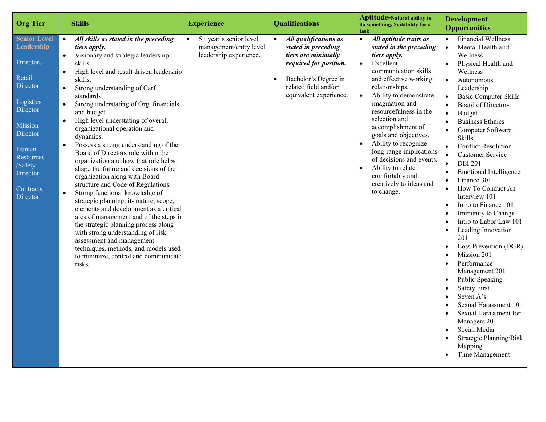| <b>Aptitude-Natural ability to</b><br><b>Development</b><br><b>Org Tier</b><br><b>Skills</b><br><b>Experience</b><br><b>Qualifications</b><br>do something. Suitability for a<br><b>Opportunities</b><br>task                                                                                                                                                                                                                                                                                                                                                                                                                                                                                                                                                                                                                                                                                                                                                                                                                                                                                                                                                                                                                                                                                                                                                                                                                                                                                                                                                                                                                                                                                                                                                                                                                                                                                                                                                                                                                                                                                                                                                                                                                                                                                                                                                                                                                                                                                                                                                                                                                                                                                                                                                                                                                                                                                                                                           |
|---------------------------------------------------------------------------------------------------------------------------------------------------------------------------------------------------------------------------------------------------------------------------------------------------------------------------------------------------------------------------------------------------------------------------------------------------------------------------------------------------------------------------------------------------------------------------------------------------------------------------------------------------------------------------------------------------------------------------------------------------------------------------------------------------------------------------------------------------------------------------------------------------------------------------------------------------------------------------------------------------------------------------------------------------------------------------------------------------------------------------------------------------------------------------------------------------------------------------------------------------------------------------------------------------------------------------------------------------------------------------------------------------------------------------------------------------------------------------------------------------------------------------------------------------------------------------------------------------------------------------------------------------------------------------------------------------------------------------------------------------------------------------------------------------------------------------------------------------------------------------------------------------------------------------------------------------------------------------------------------------------------------------------------------------------------------------------------------------------------------------------------------------------------------------------------------------------------------------------------------------------------------------------------------------------------------------------------------------------------------------------------------------------------------------------------------------------------------------------------------------------------------------------------------------------------------------------------------------------------------------------------------------------------------------------------------------------------------------------------------------------------------------------------------------------------------------------------------------------------------------------------------------------------------------------------------------------|
| <b>Financial Wellness</b><br><b>Senior Level</b><br>5+ year's senior level<br>All skills as stated in the preceding<br>All qualifications as<br>All aptitude traits as<br>$\bullet$<br>$\bullet$<br>$\bullet$<br>$\bullet$<br>Leadership<br>management/entry level<br>stated in preceding<br>stated in the preceding<br>Mental Health and<br>tiers apply.<br>$\bullet$<br>leadership experience.<br>tiers are minimally<br>Visionary and strategic leadership<br>tiers apply.<br>Wellness<br>$\bullet$<br>Directors<br>required for position.<br>Excellent<br>skills.<br>$\bullet$<br>Physical Health and<br>communication skills<br>High level and result driven leadership<br>Wellness<br>$\bullet$<br>Retail<br>and effective working<br>skills.<br>Bachelor's Degree in<br>$\bullet$<br>Autonomous<br>Director<br>related field and/or<br>relationships.<br>Strong understanding of Carf<br>Leadership<br>$\bullet$<br>equivalent experience.<br>Ability to demonstrate<br>standards.<br>$\bullet$<br><b>Basic Computer Skills</b><br>$\bullet$<br>Logistics<br>imagination and<br>Strong understating of Org. financials<br><b>Board of Directors</b><br>$\bullet$<br>Director<br>resourcefulness in the<br>and budget<br>Budget<br>$\bullet$<br>selection and<br>High level understating of overall<br><b>Business Ethnics</b><br>$\bullet$<br><b>Mission</b><br>accomplishment of<br>organizational operation and<br>Computer Software<br>$\bullet$<br>Director<br>goals and objectives.<br>dynamics.<br><b>Skills</b><br>Ability to recognize<br>$\bullet$<br>Possess a strong understanding of the<br>$\bullet$<br><b>Conflict Resolution</b><br>$\bullet$<br>Human<br>long-range implications<br>Board of Directors role within the<br>$\bullet$<br><b>Customer Service</b><br><b>Resources</b><br>of decisions and events.<br>organization and how that role helps<br><b>DEI 201</b><br>$\bullet$<br>/Safety<br>Ability to relate<br>$\bullet$<br>shape the future and decisions of the<br><b>Emotional Intelligence</b><br>Director<br>comfortably and<br>organization along with Board<br>Finance 301<br>creatively to ideas and<br>structure and Code of Regulations.<br>How To Conduct An<br>$\bullet$<br>Contracts<br>to change.<br>Strong functional knowledge of<br>$\bullet$<br>Interview 101<br>Director<br>strategic planning: its nature, scope,<br>Intro to Finance 101<br>elements and development as a critical<br>Immunity to Change<br>area of management and of the steps in<br>Intro to Labor Law 101<br>the strategic planning process along<br>Leading Innovation<br>$\bullet$<br>with strong understanding of risk<br>201<br>assessment and management<br>Loss Prevention (DGR)<br>techniques, methods, and models used<br>Mission 201<br>to minimize, control and communicate<br>Performance<br>risks.<br>$\bullet$<br>Management 201<br>Public Speaking<br>$\bullet$<br><b>Safety First</b><br>Seven A's<br>$\bullet$ |